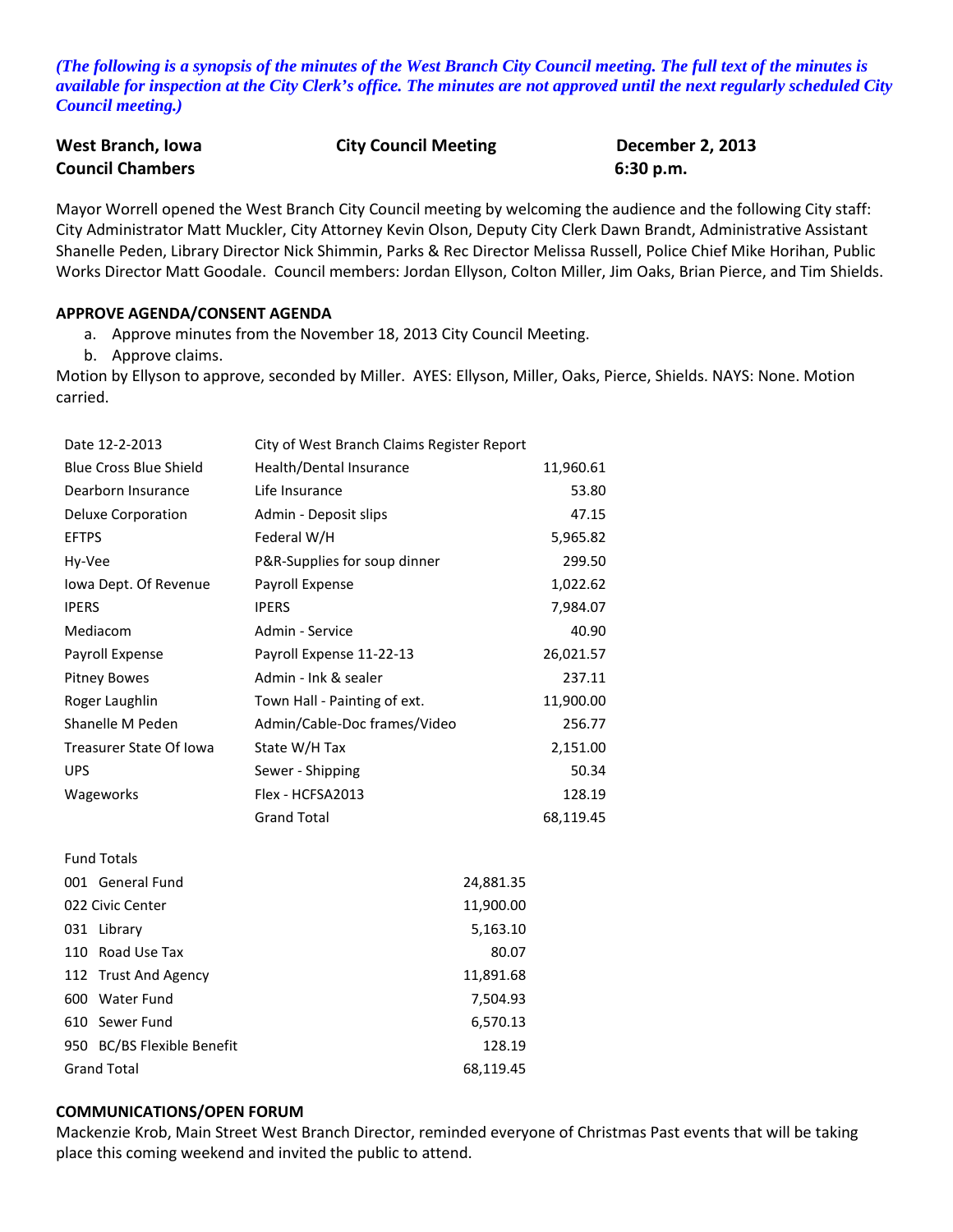*(The following is a synopsis of the minutes of the West Branch City Council meeting. The full text of the minutes is available for inspection at the City Clerk's office. The minutes are not approved until the next regularly scheduled City Council meeting.)*

| West Branch, Iowa       | <b>City Council Meeting</b> | <b>December 2, 2013</b> |
|-------------------------|-----------------------------|-------------------------|
| <b>Council Chambers</b> |                             | 6:30 p.m.               |

Mayor Worrell opened the West Branch City Council meeting by welcoming the audience and the following City staff: City Administrator Matt Muckler, City Attorney Kevin Olson, Deputy City Clerk Dawn Brandt, Administrative Assistant Shanelle Peden, Library Director Nick Shimmin, Parks & Rec Director Melissa Russell, Police Chief Mike Horihan, Public Works Director Matt Goodale. Council members: Jordan Ellyson, Colton Miller, Jim Oaks, Brian Pierce, and Tim Shields.

#### **APPROVE AGENDA/CONSENT AGENDA**

- a. Approve minutes from the November 18, 2013 City Council Meeting.
- b. Approve claims.

Motion by Ellyson to approve, seconded by Miller. AYES: Ellyson, Miller, Oaks, Pierce, Shields. NAYS: None. Motion carried.

| Date 12-2-2013                 | City of West Branch Claims Register Report |           |
|--------------------------------|--------------------------------------------|-----------|
| <b>Blue Cross Blue Shield</b>  | Health/Dental Insurance                    | 11,960.61 |
| Dearborn Insurance             | Life Insurance                             | 53.80     |
| <b>Deluxe Corporation</b>      | Admin - Deposit slips                      | 47.15     |
| <b>EFTPS</b>                   | Federal W/H                                | 5,965.82  |
| Hy-Vee                         | P&R-Supplies for soup dinner               | 299.50    |
| Iowa Dept. Of Revenue          | Payroll Expense                            | 1,022.62  |
| <b>IPERS</b>                   | <b>IPERS</b>                               | 7,984.07  |
| Mediacom                       | Admin - Service                            | 40.90     |
| Payroll Expense                | Payroll Expense 11-22-13                   | 26,021.57 |
| <b>Pitney Bowes</b>            | Admin - Ink & sealer                       | 237.11    |
| Roger Laughlin                 | Town Hall - Painting of ext.               | 11,900.00 |
| Shanelle M Peden               | Admin/Cable-Doc frames/Video               | 256.77    |
| <b>Treasurer State Of Iowa</b> | State W/H Tax                              | 2,151.00  |
| <b>UPS</b>                     | Sewer - Shipping                           | 50.34     |
| Wageworks                      | Flex - HCFSA2013                           | 128.19    |
|                                | <b>Grand Total</b>                         | 68,119.45 |
| <b>Fund Totals</b>             |                                            |           |
| 001 General Fund               | 24,881.35                                  |           |
| 022 Civic Center               | 11,900.00                                  |           |
| 031 Library                    | 5,163.10                                   |           |
| 110 Road Use Tax               | 80.07                                      |           |
| 112 Trust And Agency           | 11,891.68                                  |           |
| 600 Water Fund                 | 7,504.93                                   |           |
| 610 Sewer Fund                 | 6,570.13                                   |           |
| 950 BC/BS Flexible Benefit     | 128.19                                     |           |
| <b>Grand Total</b>             | 68,119.45                                  |           |

#### **COMMUNICATIONS/OPEN FORUM**

Mackenzie Krob, Main Street West Branch Director, reminded everyone of Christmas Past events that will be taking place this coming weekend and invited the public to attend.